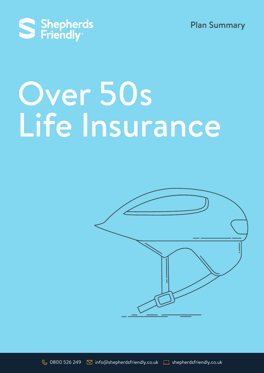



# Over 50s Life Insurance

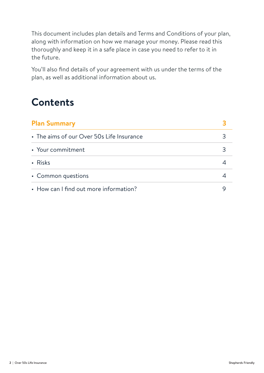This document includes plan details and Terms and Conditions of your plan, along with information on how we manage your money. Please read this thoroughly and keep it in a safe place in case you need to refer to it in the future.

You'll also find details of your agreement with us under the terms of the plan, as well as additional information about us.

# **Contents**

| <b>Plan Summary</b>                       |  |
|-------------------------------------------|--|
| • The aims of our Over 50s Life Insurance |  |
| • Your commitment                         |  |
| • Risks                                   |  |
| • Common questions                        |  |
| • How can I find out more information?    |  |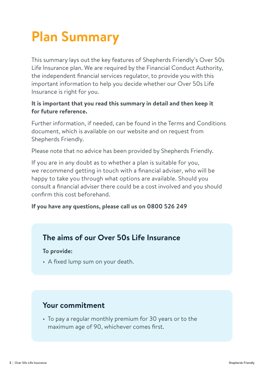# **Plan Summary**

This summary lays out the key features of Shepherds Friendly's Over 50s Life Insurance plan. We are required by the Financial Conduct Authority, the independent financial services regulator, to provide you with this important information to help you decide whether our Over 50s Life Insurance is right for you.

#### **It is important that you read this summary in detail and then keep it for future reference.**

Further information, if needed, can be found in the Terms and Conditions document, which is available on our website and on request from Shepherds Friendly.

Please note that no advice has been provided by Shepherds Friendly.

If you are in any doubt as to whether a plan is suitable for you, we recommend getting in touch with a financial adviser, who will be happy to take you through what options are available. Should you consult a financial adviser there could be a cost involved and you should confirm this cost beforehand.

#### **If you have any questions, please call us on 0800 526 249**

### **The aims of our Over 50s Life Insurance**

**To provide:**

• A fixed lump sum on your death.

# **Your commitment**

• To pay a regular monthly premium for 30 years or to the maximum age of 90, whichever comes first.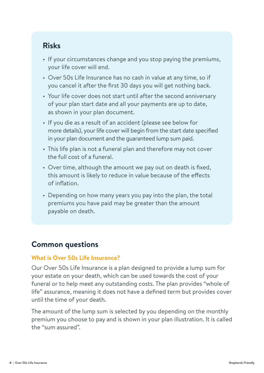# **Risks**

- If your circumstances change and you stop paying the premiums, your life cover will end.
- Over 50s Life Insurance has no cash in value at any time, so if you cancel it after the first 30 days you will get nothing back.
- Your life cover does not start until after the second anniversary of your plan start date and all your payments are up to date, as shown in your plan document.
- If you die as a result of an accident (please see below for more details), your life cover will begin from the start date specified in your plan document and the guaranteed lump sum paid.
- This life plan is not a funeral plan and therefore may not cover the full cost of a funeral.
- Over time, although the amount we pay out on death is fixed, this amount is likely to reduce in value because of the effects of inflation.
- Depending on how many years you pay into the plan, the total premiums you have paid may be greater than the amount payable on death.

# **Common questions**

#### **What is Over 50s Life Insurance?**

Our Over 50s Life Insurance is a plan designed to provide a lump sum for your estate on your death, which can be used towards the cost of your funeral or to help meet any outstanding costs. The plan provides "whole of life" assurance, meaning it does not have a defined term but provides cover until the time of your death.

The amount of the lump sum is selected by you depending on the monthly premium you choose to pay and is shown in your plan illustration. It is called the "sum assured".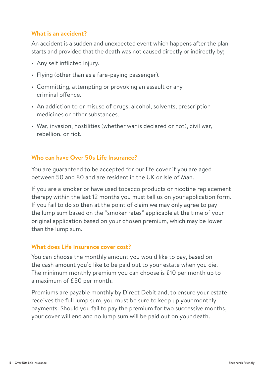#### **What is an accident?**

An accident is a sudden and unexpected event which happens after the plan starts and provided that the death was not caused directly or indirectly by;

- Any self inflicted injury.
- Flying (other than as a fare-paying passenger).
- Committing, attempting or provoking an assault or any criminal offence.
- An addiction to or misuse of drugs, alcohol, solvents, prescription medicines or other substances.
- War, invasion, hostilities (whether war is declared or not), civil war, rebellion, or riot.

#### **Who can have Over 50s Life Insurance?**

You are guaranteed to be accepted for our life cover if you are aged between 50 and 80 and are resident in the UK or Isle of Man.

If you are a smoker or have used tobacco products or nicotine replacement therapy within the last 12 months you must tell us on your application form. If you fail to do so then at the point of claim we may only agree to pay the lump sum based on the "smoker rates" applicable at the time of your original application based on your chosen premium, which may be lower than the lump sum.

#### **What does Life Insurance cover cost?**

You can choose the monthly amount you would like to pay, based on the cash amount you'd like to be paid out to your estate when you die. The minimum monthly premium you can choose is £10 per month up to a maximum of £50 per month.

Premiums are payable monthly by Direct Debit and, to ensure your estate receives the full lump sum, you must be sure to keep up your monthly payments. Should you fail to pay the premium for two successive months, your cover will end and no lump sum will be paid out on your death.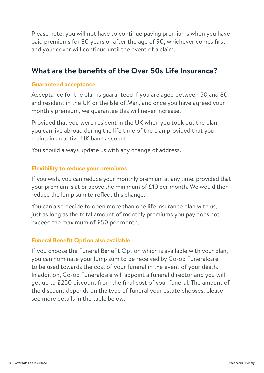Please note, you will not have to continue paying premiums when you have paid premiums for 30 years or after the age of 90, whichever comes first and your cover will continue until the event of a claim.

# **What are the benefits of the Over 50s Life Insurance?**

#### **Guaranteed acceptance**

Acceptance for the plan is guaranteed if you are aged between 50 and 80 and resident in the UK or the Isle of Man, and once you have agreed your monthly premium, we guarantee this will never increase.

Provided that you were resident in the UK when you took out the plan, you can live abroad during the life time of the plan provided that you maintain an active UK bank account.

You should always update us with any change of address.

#### **Flexibility to reduce your premiums**

If you wish, you can reduce your monthly premium at any time, provided that your premium is at or above the minimum of £10 per month. We would then reduce the lump sum to reflect this change.

You can also decide to open more than one life insurance plan with us, just as long as the total amount of monthly premiums you pay does not exceed the maximum of £50 per month.

#### **Funeral Benefit Option also available**

If you choose the Funeral Benefit Option which is available with your plan, you can nominate your lump sum to be received by Co-op Funeralcare to be used towards the cost of your funeral in the event of your death. In addition, Co-op Funeralcare will appoint a funeral director and you will get up to £250 discount from the final cost of your funeral. The amount of the discount depends on the type of funeral your estate chooses, please see more details in the table below.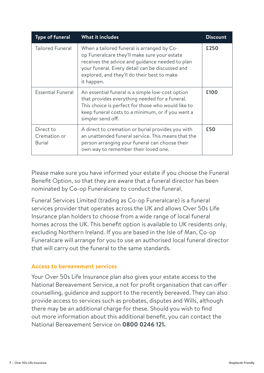| <b>Type of funeral</b>                     | <b>What it includes</b>                                                                                                                                                                                                                                       | <b>Discount</b> |
|--------------------------------------------|---------------------------------------------------------------------------------------------------------------------------------------------------------------------------------------------------------------------------------------------------------------|-----------------|
| <b>Tailored Funeral</b>                    | When a tailored funeral is arranged by Co-<br>op Funeralcare they'll make sure your estate<br>receives the advice and guidance needed to plan<br>your funeral. Every detail can be discussed and<br>explored, and they'll do their best to make<br>it happen. | £250            |
| <b>Essential Funeral</b>                   | An essential funeral is a simple low-cost option<br>that provides everything needed for a funeral.<br>This choice is perfect for those who would like to<br>keep funeral costs to a minimum, or if you want a<br>simpler send off.                            | £100            |
| Direct to<br>Cremation or<br><b>Burial</b> | A direct to cremation or burial provides you with<br>an unattended funeral service. This means that the<br>person arranging your funeral can choose their<br>own way to remember their loved one.                                                             | £50             |

Please make sure you have informed your estate if you choose the Funeral Benefit Option, so that they are aware that a funeral director has been nominated by Co-op Funeralcare to conduct the funeral.

Funeral Services Limited (trading as Co-op Funeralcare) is a funeral services provider that operates across the UK and allows Over 50s Life Insurance plan holders to choose from a wide range of local funeral homes across the UK. This benefit option is available to UK residents only, excluding Northern Ireland. If you are based in the Isle of Man, Co-op Funeralcare will arrange for you to use an authorised local funeral director that will carry out the funeral to the same standards.

#### **Access to bereavement services**

Your Over 50s Life Insurance plan also gives your estate access to the National Bereavement Service, a not for profit organisation that can offer counselling, guidance and support to the recently bereaved. They can also provide access to services such as probates, disputes and Wills, although there may be an additional charge for these. Should you wish to find out more information about this additional benefit, you can contact the National Bereavement Service on **0800 0246 121.**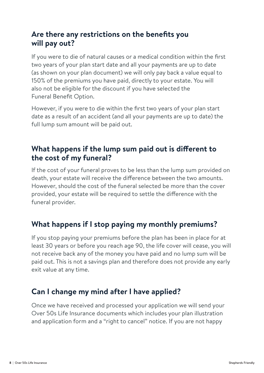# **Are there any restrictions on the benefits you will pay out?**

If you were to die of natural causes or a medical condition within the first two years of your plan start date and all your payments are up to date (as shown on your plan document) we will only pay back a value equal to 150% of the premiums you have paid, directly to your estate. You will also not be eligible for the discount if you have selected the Funeral Benefit Option.

However, if you were to die within the first two years of your plan start date as a result of an accident (and all your payments are up to date) the full lump sum amount will be paid out.

# **What happens if the lump sum paid out is different to the cost of my funeral?**

If the cost of your funeral proves to be less than the lump sum provided on death, your estate will receive the difference between the two amounts. However, should the cost of the funeral selected be more than the cover provided, your estate will be required to settle the difference with the funeral provider.

# **What happens if I stop paying my monthly premiums?**

If you stop paying your premiums before the plan has been in place for at least 30 years or before you reach age 90, the life cover will cease, you will not receive back any of the money you have paid and no lump sum will be paid out. This is not a savings plan and therefore does not provide any early exit value at any time.

# **Can I change my mind after I have applied?**

Once we have received and processed your application we will send your Over 50s Life Insurance documents which includes your plan illustration and application form and a "right to cancel" notice. If you are not happy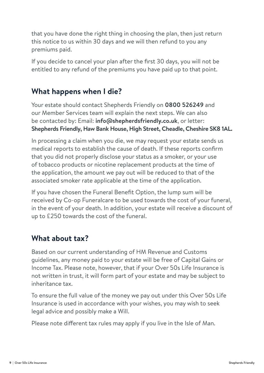that you have done the right thing in choosing the plan, then just return this notice to us within 30 days and we will then refund to you any premiums paid.

If you decide to cancel your plan after the first 30 days, you will not be entitled to any refund of the premiums you have paid up to that point.

# **What happens when I die?**

Your estate should contact Shepherds Friendly on **0800 526249** and our Member Services team will explain the next steps. We can also be contacted by: Email: **info@shepherdsfriendly.co.uk**, or letter: **Shepherds Friendly, Haw Bank House, High Street, Cheadle, Cheshire SK8 1AL.**

In processing a claim when you die, we may request your estate sends us medical reports to establish the cause of death. If these reports confirm that you did not properly disclose your status as a smoker, or your use of tobacco products or nicotine replacement products at the time of the application, the amount we pay out will be reduced to that of the associated smoker rate applicable at the time of the application.

If you have chosen the Funeral Benefit Option, the lump sum will be received by Co-op Funeralcare to be used towards the cost of your funeral, in the event of your death. In addition, your estate will receive a discount of up to £250 towards the cost of the funeral.

# **What about tax?**

Based on our current understanding of HM Revenue and Customs guidelines, any money paid to your estate will be free of Capital Gains or Income Tax. Please note, however, that if your Over 50s Life Insurance is not written in trust, it will form part of your estate and may be subject to inheritance tax.

To ensure the full value of the money we pay out under this Over 50s Life Insurance is used in accordance with your wishes, you may wish to seek legal advice and possibly make a Will.

Please note different tax rules may apply if you live in the Isle of Man.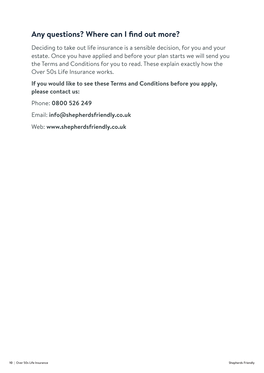# **Any questions? Where can I find out more?**

Deciding to take out life insurance is a sensible decision, for you and your estate. Once you have applied and before your plan starts we will send you the Terms and Conditions for you to read. These explain exactly how the Over 50s Life Insurance works.

#### **If you would like to see these Terms and Conditions before you apply, please contact us:**

Phone: **0800 526 249**

Email: **info@shepherdsfriendly.co.uk**

Web: **www.shepherdsfriendly.co.uk**